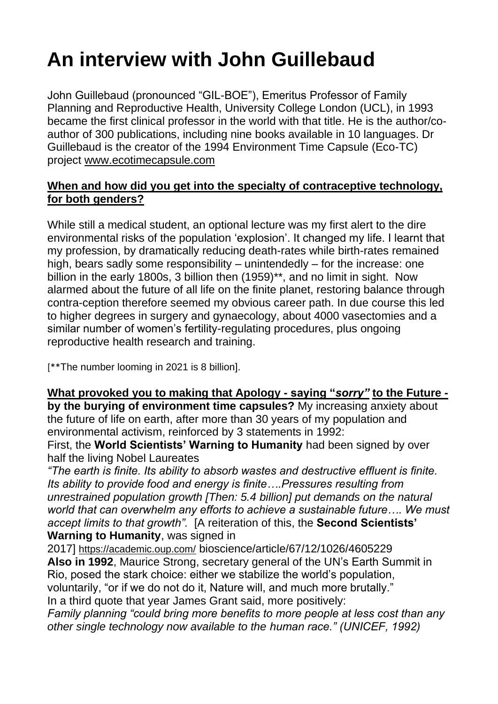# **An interview with John Guillebaud**

John Guillebaud (pronounced "GIL-BOE"), Emeritus Professor of Family Planning and Reproductive Health, University College London (UCL), in 1993 became the first clinical professor in the world with that title. He is the author/coauthor of 300 publications, including nine books available in 10 languages. Dr Guillebaud is the creator of the 1994 Environment Time Capsule (Eco-TC) project [www.ecotimecapsule.com](http://www.ecotimecapsule.com/)

# **When and how did you get into the specialty of contraceptive technology, for both genders?**

While still a medical student, an optional lecture was my first alert to the dire environmental risks of the population 'explosion'. It changed my life. I learnt that my profession, by dramatically reducing death-rates while birth-rates remained high, bears sadly some responsibility – unintendedly – for the increase: one billion in the early 1800s, 3 billion then (1959)\*\*, and no limit in sight. Now alarmed about the future of all life on the finite planet, restoring balance through contra-ception therefore seemed my obvious career path. In due course this led to higher degrees in surgery and gynaecology, about 4000 vasectomies and a similar number of women's fertility-regulating procedures, plus ongoing reproductive health research and training.

[\*\*The number looming in 2021 is 8 billion].

## **What provoked you to making that Apology - saying "***sorry"* **to the Future -**

**by the burying of environment time capsules?** My increasing anxiety about the future of life on earth, after more than 30 years of my population and environmental activism, reinforced by 3 statements in 1992:

First, the **World Scientists' Warning to Humanity** had been signed by over half the living Nobel Laureates

*"The earth is finite. Its ability to absorb wastes and destructive effluent is finite. Its ability to provide food and energy is finite….Pressures resulting from unrestrained population growth [Then: 5.4 billion] put demands on the natural world that can overwhelm any efforts to achieve a sustainable future…. We must accept limits to that growth".* [A reiteration of this, the **Second Scientists' Warning to Humanity**, was signed in

2017] <https://academic.oup.com/> bioscience/article/67/12/1026/4605229 **Also in 1992**, Maurice Strong, secretary general of the UN's Earth Summit in Rio, posed the stark choice: either we stabilize the world's population, voluntarily, "or if we do not do it, Nature will, and much more brutally." In a third quote that year James Grant said, more positively:

*Family planning "could bring more benefits to more people at less cost than any other single technology now available to the human race." (UNICEF, 1992)*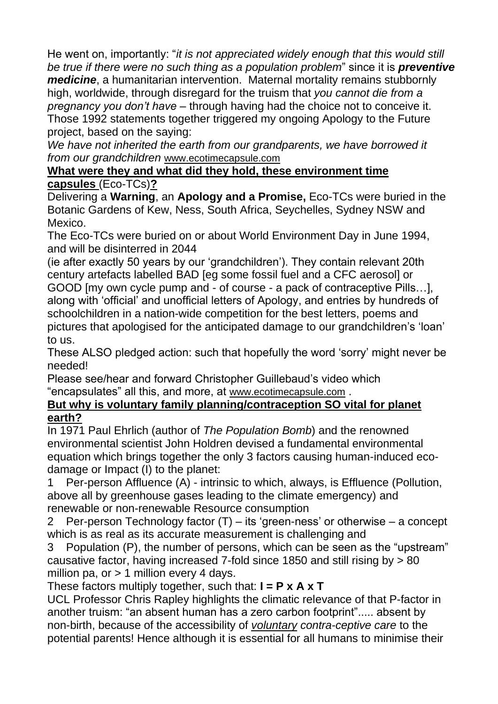He went on, importantly: "*it is not appreciated widely enough that this would still be true if there were no such thing as a population problem*" since it is *preventive medicine*, a humanitarian intervention. Maternal mortality remains stubbornly high, worldwide, through disregard for the truism that *you cannot die from a pregnancy you don't have* – through having had the choice not to conceive it. Those 1992 statements together triggered my ongoing Apology to the Future project, based on the saying:

*We have not inherited the earth from our grandparents, we have borrowed it from our grandchildren* [www.ecotimecapsule.com](http://www.ecotimecapsule.com/)

#### **What were they and what did they hold, these environment time capsules** (Eco-TCs)**?**

Delivering a **Warning**, an **Apology and a Promise,** Eco-TCs were buried in the Botanic Gardens of Kew, Ness, South Africa, Seychelles, Sydney NSW and Mexico.

The Eco-TCs were buried on or about World Environment Day in June 1994, and will be disinterred in 2044

(ie after exactly 50 years by our 'grandchildren'). They contain relevant 20th century artefacts labelled BAD [eg some fossil fuel and a CFC aerosol] or GOOD [my own cycle pump and - of course - a pack of contraceptive Pills…], along with 'official' and unofficial letters of Apology, and entries by hundreds of schoolchildren in a nation-wide competition for the best letters, poems and pictures that apologised for the anticipated damage to our grandchildren's 'loan' to us.

These ALSO pledged action: such that hopefully the word 'sorry' might never be needed!

Please see/hear and forward Christopher Guillebaud's video which "encapsulates" all this, and more, at [www.ecotimecapsule.com](http://www.ecotimecapsule.com/) .

## **But why is voluntary family planning/contraception SO vital for planet earth?**

In 1971 Paul Ehrlich (author of *The Population Bomb*) and the renowned environmental scientist John Holdren devised a fundamental environmental equation which brings together the only 3 factors causing human-induced ecodamage or Impact (I) to the planet:

1 Per-person Affluence (A) - intrinsic to which, always, is Effluence (Pollution, above all by greenhouse gases leading to the climate emergency) and renewable or non-renewable Resource consumption

2 Per-person Technology factor (T) – its 'green-ness' or otherwise – a concept which is as real as its accurate measurement is challenging and

3 Population (P), the number of persons, which can be seen as the "upstream" causative factor, having increased 7-fold since 1850 and still rising by > 80 million pa, or  $> 1$  million every 4 days.

# These factors multiply together, such that: **I = P x A x T**

UCL Professor Chris Rapley highlights the climatic relevance of that P-factor in another truism: "an absent human has a zero carbon footprint"..... absent by non-birth, because of the accessibility of *voluntary contra-ceptive care* to the potential parents! Hence although it is essential for all humans to minimise their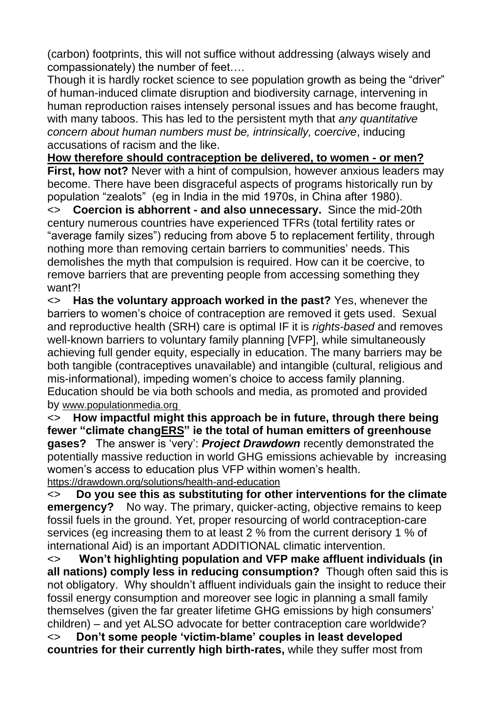(carbon) footprints, this will not suffice without addressing (always wisely and compassionately) the number of feet….

Though it is hardly rocket science to see population growth as being the "driver" of human-induced climate disruption and biodiversity carnage, intervening in human reproduction raises intensely personal issues and has become fraught, with many taboos. This has led to the persistent myth that *any quantitative concern about human numbers must be, intrinsically, coercive*, inducing accusations of racism and the like.

**How therefore should contraception be delivered, to women - or men? First, how not?** Never with a hint of compulsion, however anxious leaders may become. There have been disgraceful aspects of programs historically run by population "zealots" (eg in India in the mid 1970s, in China after 1980).

<> **Coercion is abhorrent - and also unnecessary.** Since the mid-20th century numerous countries have experienced TFRs (total fertility rates or "average family sizes") reducing from above 5 to replacement fertility, through nothing more than removing certain barriers to communities' needs. This demolishes the myth that compulsion is required. How can it be coercive, to remove barriers that are preventing people from accessing something they want?!

<> **Has the voluntary approach worked in the past?** Yes, whenever the barriers to women's choice of contraception are removed it gets used. Sexual and reproductive health (SRH) care is optimal IF it is *rights-based* and removes well-known barriers to voluntary family planning [VFP], while simultaneously achieving full gender equity, especially in education. The many barriers may be both tangible (contraceptives unavailable) and intangible (cultural, religious and mis-informational), impeding women's choice to access family planning. Education should be via both schools and media, as promoted and provided by www.populationmedia.org

<> **How impactful might this approach be in future, through there being fewer "climate changERS" ie the total of human emitters of greenhouse gases?** The answer is 'very': *Project Drawdown* recently demonstrated the potentially massive reduction in world GHG emissions achievable by increasing women's access to education plus VFP within women's health. <https://drawdown.org/solutions/health-and-education>

<> **Do you see this as substituting for other interventions for the climate emergency?** No way. The primary, quicker-acting, objective remains to keep fossil fuels in the ground. Yet, proper resourcing of world contraception-care services (eg increasing them to at least 2 % from the current derisory 1 % of international Aid) is an important ADDITIONAL climatic intervention.

<> **Won't highlighting population and VFP make affluent individuals (in all nations) comply less in reducing consumption?** Though often said this is not obligatory. Why shouldn't affluent individuals gain the insight to reduce their fossil energy consumption and moreover see logic in planning a small family themselves (given the far greater lifetime GHG emissions by high consumers' children) – and yet ALSO advocate for better contraception care worldwide? <> **Don't some people 'victim-blame' couples in least developed countries for their currently high birth-rates,** while they suffer most from